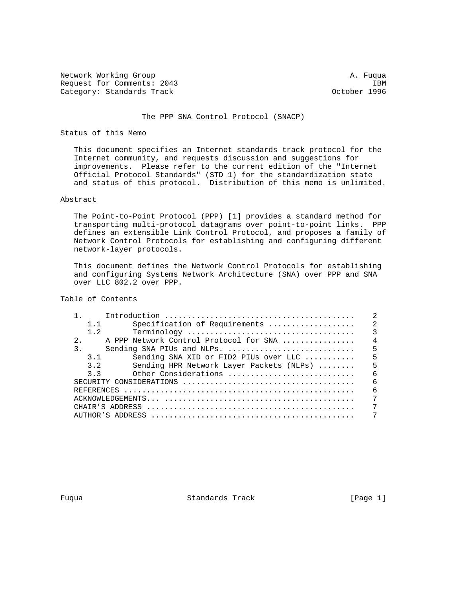Network Working Group and the set of the set of the set of the set of the set of the set of the set of the set of the set of the set of the set of the set of the set of the set of the set of the set of the set of the set o Request for Comments: 2043 IBM<br>Category: Standards Track Category: Standards Track Category: Standards Track

### The PPP SNA Control Protocol (SNACP)

# Status of this Memo

 This document specifies an Internet standards track protocol for the Internet community, and requests discussion and suggestions for improvements. Please refer to the current edition of the "Internet Official Protocol Standards" (STD 1) for the standardization state and status of this protocol. Distribution of this memo is unlimited.

### Abstract

 The Point-to-Point Protocol (PPP) [1] provides a standard method for transporting multi-protocol datagrams over point-to-point links. PPP defines an extensible Link Control Protocol, and proposes a family of Network Control Protocols for establishing and configuring different network-layer protocols.

 This document defines the Network Control Protocols for establishing and configuring Systems Network Architecture (SNA) over PPP and SNA over LLC 802.2 over PPP.

Table of Contents

| 1.1            | Specification of Requirements                                | 2              |
|----------------|--------------------------------------------------------------|----------------|
| 1.2            |                                                              | $\mathcal{L}$  |
| $2^{\circ}$    | A PPP Network Control Protocol for SNA                       | $\overline{4}$ |
| 3 <sub>1</sub> | Sending SNA PIUs and NLPs.                                   | -5             |
| 3.1            | Sending SNA XID or FID2 PIUs over LLC $\ldots \ldots \ldots$ | 5              |
| 3.2            | Sending HPR Network Layer Packets (NLPs)                     | 5              |
| 3.3            | Other Considerations                                         | - 6            |
|                |                                                              | $\sqrt{2}$     |
|                |                                                              | $\epsilon$     |
|                |                                                              | 7              |
|                |                                                              | 7              |
|                |                                                              | 7              |

Fuqua **Standards Track** [Page 1]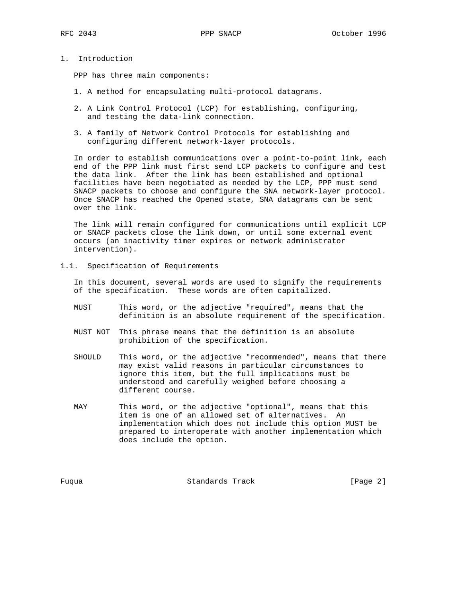1. Introduction

PPP has three main components:

- 1. A method for encapsulating multi-protocol datagrams.
- 2. A Link Control Protocol (LCP) for establishing, configuring, and testing the data-link connection.
- 3. A family of Network Control Protocols for establishing and configuring different network-layer protocols.

 In order to establish communications over a point-to-point link, each end of the PPP link must first send LCP packets to configure and test the data link. After the link has been established and optional facilities have been negotiated as needed by the LCP, PPP must send SNACP packets to choose and configure the SNA network-layer protocol. Once SNACP has reached the Opened state, SNA datagrams can be sent over the link.

 The link will remain configured for communications until explicit LCP or SNACP packets close the link down, or until some external event occurs (an inactivity timer expires or network administrator intervention).

1.1. Specification of Requirements

 In this document, several words are used to signify the requirements of the specification. These words are often capitalized.

- MUST This word, or the adjective "required", means that the definition is an absolute requirement of the specification.
- MUST NOT This phrase means that the definition is an absolute prohibition of the specification.
- SHOULD This word, or the adjective "recommended", means that there may exist valid reasons in particular circumstances to ignore this item, but the full implications must be understood and carefully weighed before choosing a different course.
- MAY This word, or the adjective "optional", means that this item is one of an allowed set of alternatives. An implementation which does not include this option MUST be prepared to interoperate with another implementation which does include the option.

Fuqua Standards Track [Page 2]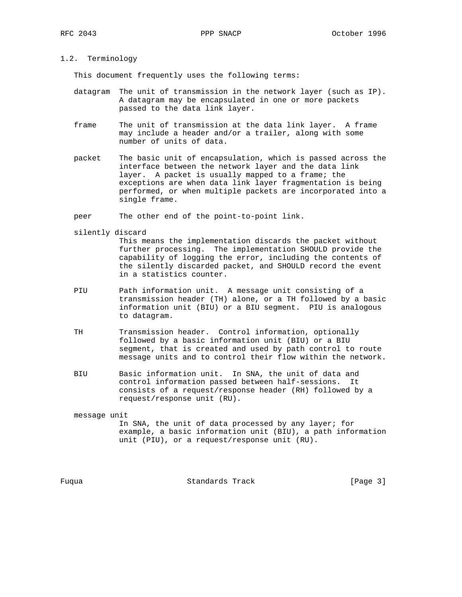# 1.2. Terminology

This document frequently uses the following terms:

- datagram The unit of transmission in the network layer (such as IP). A datagram may be encapsulated in one or more packets passed to the data link layer.
- frame The unit of transmission at the data link layer. A frame may include a header and/or a trailer, along with some number of units of data.
- packet The basic unit of encapsulation, which is passed across the interface between the network layer and the data link layer. A packet is usually mapped to a frame; the exceptions are when data link layer fragmentation is being performed, or when multiple packets are incorporated into a single frame.

peer The other end of the point-to-point link.

silently discard

 This means the implementation discards the packet without further processing. The implementation SHOULD provide the capability of logging the error, including the contents of the silently discarded packet, and SHOULD record the event in a statistics counter.

- PIU Path information unit. A message unit consisting of a transmission header (TH) alone, or a TH followed by a basic information unit (BIU) or a BIU segment. PIU is analogous to datagram.
- TH Transmission header. Control information, optionally followed by a basic information unit (BIU) or a BIU segment, that is created and used by path control to route message units and to control their flow within the network.
- BIU Basic information unit. In SNA, the unit of data and control information passed between half-sessions. It consists of a request/response header (RH) followed by a request/response unit (RU).

# message unit In SNA, the unit of data processed by any layer; for example, a basic information unit (BIU), a path information unit (PIU), or a request/response unit (RU).

Fuqua Standards Track [Page 3]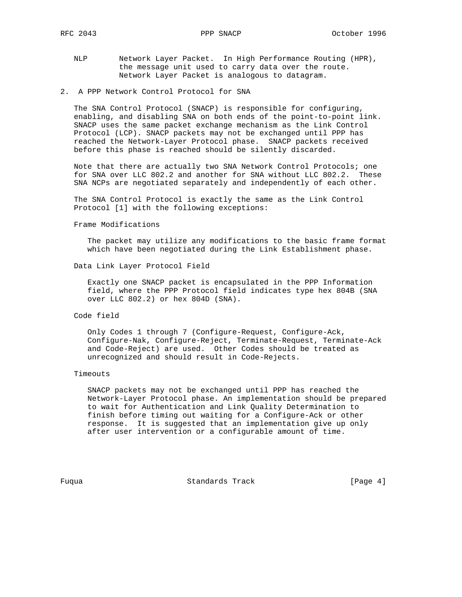- NLP Network Layer Packet. In High Performance Routing (HPR), the message unit used to carry data over the route. Network Layer Packet is analogous to datagram.
- 2. A PPP Network Control Protocol for SNA

 The SNA Control Protocol (SNACP) is responsible for configuring, enabling, and disabling SNA on both ends of the point-to-point link. SNACP uses the same packet exchange mechanism as the Link Control Protocol (LCP). SNACP packets may not be exchanged until PPP has reached the Network-Layer Protocol phase. SNACP packets received before this phase is reached should be silently discarded.

 Note that there are actually two SNA Network Control Protocols; one for SNA over LLC 802.2 and another for SNA without LLC 802.2. These SNA NCPs are negotiated separately and independently of each other.

 The SNA Control Protocol is exactly the same as the Link Control Protocol [1] with the following exceptions:

Frame Modifications

 The packet may utilize any modifications to the basic frame format which have been negotiated during the Link Establishment phase.

Data Link Layer Protocol Field

 Exactly one SNACP packet is encapsulated in the PPP Information field, where the PPP Protocol field indicates type hex 804B (SNA over LLC 802.2) or hex 804D (SNA).

# Code field

 Only Codes 1 through 7 (Configure-Request, Configure-Ack, Configure-Nak, Configure-Reject, Terminate-Request, Terminate-Ack and Code-Reject) are used. Other Codes should be treated as unrecognized and should result in Code-Rejects.

#### Timeouts

 SNACP packets may not be exchanged until PPP has reached the Network-Layer Protocol phase. An implementation should be prepared to wait for Authentication and Link Quality Determination to finish before timing out waiting for a Configure-Ack or other response. It is suggested that an implementation give up only after user intervention or a configurable amount of time.

Fuqua Standards Track [Page 4]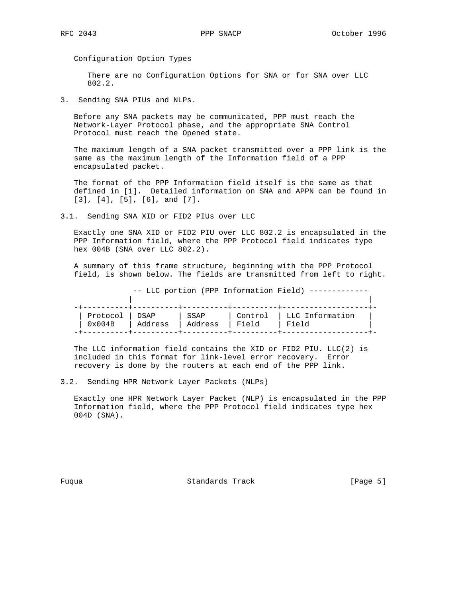Configuration Option Types

 There are no Configuration Options for SNA or for SNA over LLC 802.2.

3. Sending SNA PIUs and NLPs.

 Before any SNA packets may be communicated, PPP must reach the Network-Layer Protocol phase, and the appropriate SNA Control Protocol must reach the Opened state.

 The maximum length of a SNA packet transmitted over a PPP link is the same as the maximum length of the Information field of a PPP encapsulated packet.

 The format of the PPP Information field itself is the same as that defined in [1]. Detailed information on SNA and APPN can be found in [3], [4], [5], [6], and [7].

3.1. Sending SNA XID or FID2 PIUs over LLC

 Exactly one SNA XID or FID2 PIU over LLC 802.2 is encapsulated in the PPP Information field, where the PPP Protocol field indicates type hex 004B (SNA over LLC 802.2).

 A summary of this frame structure, beginning with the PPP Protocol field, is shown below. The fields are transmitted from left to right.

 -- LLC portion (PPP Information Field) ------------- | | -+----------+----------+----------+----------+-------------------+- | Protocol | DSAP | SSAP | Control | LLC Information | | 0x004B | Address | Address | Field | Field | -+----------+----------+----------+----------+-------------------+-

The LLC information field contains the XID or FID2 PIU.  $LLC(2)$  is included in this format for link-level error recovery. Error recovery is done by the routers at each end of the PPP link.

3.2. Sending HPR Network Layer Packets (NLPs)

 Exactly one HPR Network Layer Packet (NLP) is encapsulated in the PPP Information field, where the PPP Protocol field indicates type hex 004D (SNA).

Fuqua Standards Track [Page 5]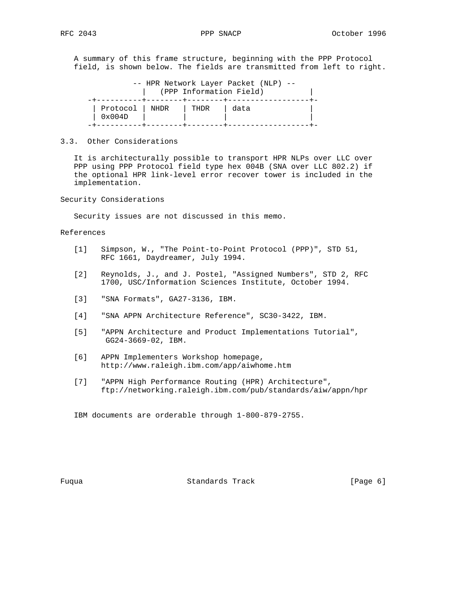A summary of this frame structure, beginning with the PPP Protocol field, is shown below. The fields are transmitted from left to right.

| -- HPR Network Layer Packet (NLP) --<br>(PPP Information Field) |  |      |      |  |  |  |  |
|-----------------------------------------------------------------|--|------|------|--|--|--|--|
| Protocol   NHDR<br>0x004D                                       |  | THDR | data |  |  |  |  |

### 3.3. Other Considerations

 It is architecturally possible to transport HPR NLPs over LLC over PPP using PPP Protocol field type hex 004B (SNA over LLC 802.2) if the optional HPR link-level error recover tower is included in the implementation.

Security Considerations

Security issues are not discussed in this memo.

References

- [1] Simpson, W., "The Point-to-Point Protocol (PPP)", STD 51, RFC 1661, Daydreamer, July 1994.
- [2] Reynolds, J., and J. Postel, "Assigned Numbers", STD 2, RFC 1700, USC/Information Sciences Institute, October 1994.
- [3] "SNA Formats", GA27-3136, IBM.
- [4] "SNA APPN Architecture Reference", SC30-3422, IBM.
- [5] "APPN Architecture and Product Implementations Tutorial", GG24-3669-02, IBM.
- [6] APPN Implementers Workshop homepage, http://www.raleigh.ibm.com/app/aiwhome.htm
- [7] "APPN High Performance Routing (HPR) Architecture", ftp://networking.raleigh.ibm.com/pub/standards/aiw/appn/hpr

IBM documents are orderable through 1-800-879-2755.

Fuqua **Standards Track** [Page 6]